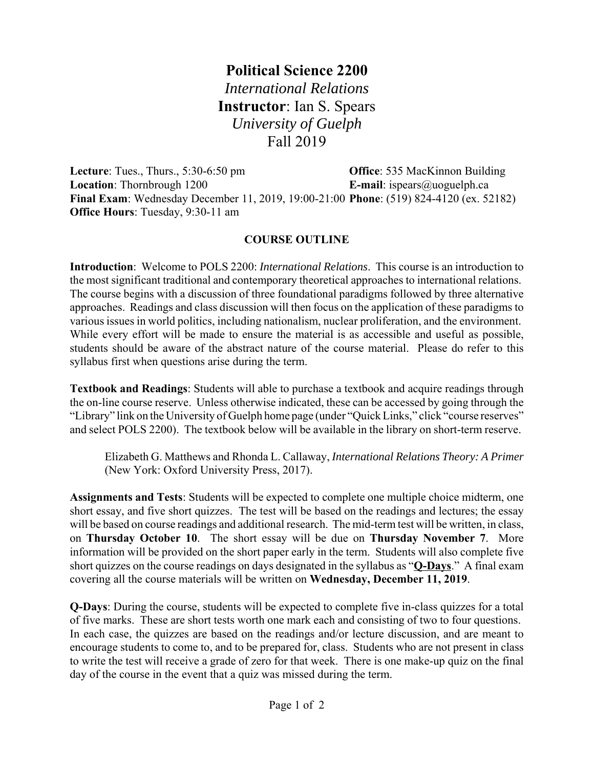## **Political Science 2200** *International Relations* **Instructor**: Ian S. Spears *University of Guelph* Fall 2019

**Lecture**: Tues., Thurs., 5:30-6:50 pm **Office**: 535 MacKinnon Building **Location**: Thornbrough 1200 **E-mail**: ispears@uoguelph.ca **Final Exam**: Wednesday December 11, 2019, 19:00-21:00 **Phone**: (519) 824-4120 (ex. 52182) **Office Hours**: Tuesday, 9:30-11 am

## **COURSE OUTLINE**

**Introduction**: Welcome to POLS 2200: *International Relations*. This course is an introduction to the most significant traditional and contemporary theoretical approaches to international relations. The course begins with a discussion of three foundational paradigms followed by three alternative approaches. Readings and class discussion will then focus on the application of these paradigms to various issues in world politics, including nationalism, nuclear proliferation, and the environment. While every effort will be made to ensure the material is as accessible and useful as possible, students should be aware of the abstract nature of the course material. Please do refer to this syllabus first when questions arise during the term.

**Textbook and Readings**: Students will able to purchase a textbook and acquire readings through the on-line course reserve. Unless otherwise indicated, these can be accessed by going through the "Library" link on the University of Guelph home page (under "Quick Links," click "course reserves" and select POLS 2200). The textbook below will be available in the library on short-term reserve.

Elizabeth G. Matthews and Rhonda L. Callaway, *International Relations Theory: A Primer* (New York: Oxford University Press, 2017).

**Assignments and Tests**: Students will be expected to complete one multiple choice midterm, one short essay, and five short quizzes. The test will be based on the readings and lectures; the essay will be based on course readings and additional research. The mid-term test will be written, in class, on **Thursday October 10**. The short essay will be due on **Thursday November 7**. More information will be provided on the short paper early in the term. Students will also complete five short quizzes on the course readings on days designated in the syllabus as "**Q-Days**." A final exam covering all the course materials will be written on **Wednesday, December 11, 2019**.

**Q-Days**: During the course, students will be expected to complete five in-class quizzes for a total of five marks. These are short tests worth one mark each and consisting of two to four questions. In each case, the quizzes are based on the readings and/or lecture discussion, and are meant to encourage students to come to, and to be prepared for, class. Students who are not present in class to write the test will receive a grade of zero for that week. There is one make-up quiz on the final day of the course in the event that a quiz was missed during the term.